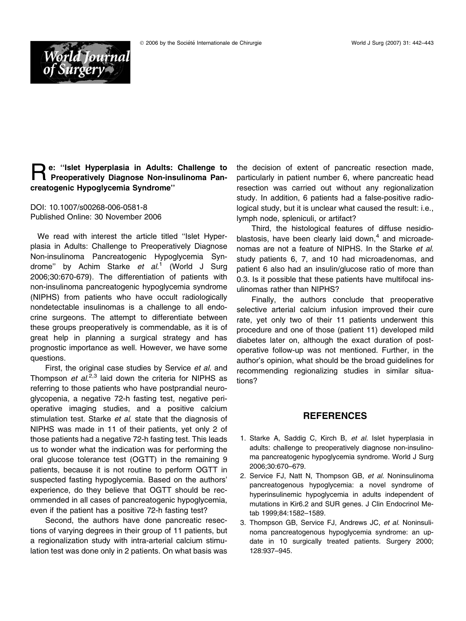

## Re: ''Islet Hyperplasia in Adults: Challenge to Preoperatively Diagnose Non-insulinoma Pancreatogenic Hypoglycemia Syndrome''

DOI: 10.1007/s00268-006-0581-8 Published Online: 30 November 2006

We read with interest the article titled ''Islet Hyperplasia in Adults: Challenge to Preoperatively Diagnose Non-insulinoma Pancreatogenic Hypoglycemia Syndrome" by Achim Starke *et al*.<sup>1</sup> (World J Surg 2006;30:670-679). The differentiation of patients with non-insulinoma pancreatogenic hypoglycemia syndrome (NIPHS) from patients who have occult radiologically nondetectable insulinomas is a challenge to all endocrine surgeons. The attempt to differentiate between these groups preoperatively is commendable, as it is of great help in planning a surgical strategy and has prognostic importance as well. However, we have some questions.

First, the original case studies by Service et al. and Thompson *et al.<sup>2,3</sup>* laid down the criteria for NIPHS as referring to those patients who have postprandial neuroglycopenia, a negative 72-h fasting test, negative perioperative imaging studies, and a positive calcium stimulation test. Starke et al. state that the diagnosis of NIPHS was made in 11 of their patients, yet only 2 of those patients had a negative 72-h fasting test. This leads us to wonder what the indication was for performing the oral glucose tolerance test (OGTT) in the remaining 9 patients, because it is not routine to perform OGTT in suspected fasting hypoglycemia. Based on the authors' experience, do they believe that OGTT should be recommended in all cases of pancreatogenic hypoglycemia, even if the patient has a positive 72-h fasting test?

Second, the authors have done pancreatic resections of varying degrees in their group of 11 patients, but a regionalization study with intra-arterial calcium stimulation test was done only in 2 patients. On what basis was

the decision of extent of pancreatic resection made, particularly in patient number 6, where pancreatic head resection was carried out without any regionalization study. In addition, 6 patients had a false-positive radiological study, but it is unclear what caused the result: i.e., lymph node, spleniculi, or artifact?

Third, the histological features of diffuse nesidioblastosis, have been clearly laid down, $4$  and microadenomas are not a feature of NIPHS. In the Starke et al. study patients 6, 7, and 10 had microadenomas, and patient 6 also had an insulin/glucose ratio of more than 0.3. Is it possible that these patients have multifocal insulinomas rather than NIPHS?

Finally, the authors conclude that preoperative selective arterial calcium infusion improved their cure rate, yet only two of their 11 patients underwent this procedure and one of those (patient 11) developed mild diabetes later on, although the exact duration of postoperative follow-up was not mentioned. Further, in the author's opinion, what should be the broad guidelines for recommending regionalizing studies in similar situations?

## **REFERENCES**

- 1. Starke A, Saddig C, Kirch B, et al. Islet hyperplasia in adults: challenge to preoperatively diagnose non-insulinoma pancreatogenic hypoglycemia syndrome. World J Surg 2006;30:670–679.
- 2. Service FJ, Natt N, Thompson GB, et al. Noninsulinoma pancreatogenous hypoglycemia: a novel syndrome of hyperinsulinemic hypoglycemia in adults independent of mutations in Kir6.2 and SUR genes. J Clin Endocrinol Metab 1999;84:1582–1589.
- 3. Thompson GB, Service FJ, Andrews JC, et al. Noninsulinoma pancreatogenous hypoglycemia syndrome: an update in 10 surgically treated patients. Surgery 2000; 128:937–945.